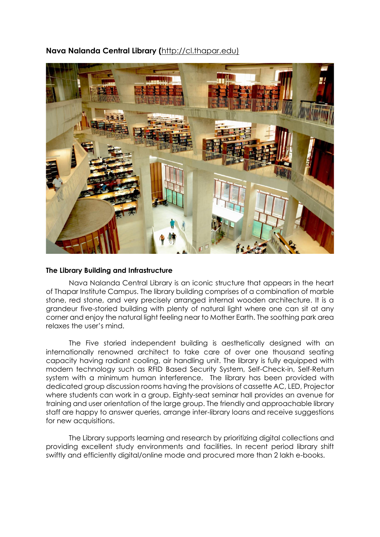

# **Nava Nalanda Central Library (**[http://cl.thapar.edu\)](http://cl.thapar.edu/)

#### **The Library Building and Infrastructure**

Nava Nalanda Central Library is an iconic structure that appears in the heart of Thapar Institute Campus. The library building comprises of a combination of marble stone, red stone, and very precisely arranged internal wooden architecture. It is a grandeur five-storied building with plenty of natural light where one can sit at any corner and enjoy the natural light feeling near to Mother Earth. The soothing park area relaxes the user's mind.

The Five storied independent building is aesthetically designed with an internationally renowned architect to take care of over one thousand seating capacity having radiant cooling, air handling unit. The library is fully equipped with modern technology such as RFID Based Security System, Self-Check-in, Self-Return system with a minimum human interference. The library has been provided with dedicated group discussion rooms having the provisions of cassette AC, LED, Projector where students can work in a group. Eighty-seat seminar hall provides an avenue for training and user orientation of the large group. The friendly and approachable library staff are happy to answer queries, arrange inter-library loans and receive suggestions for new acquisitions.

The Library supports learning and research by prioritizing digital collections and providing excellent study environments and facilities. In recent period library shift swiftly and efficiently digital/online mode and procured more than 2 lakh e-books.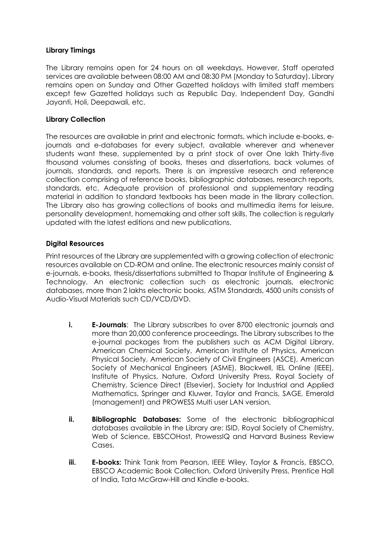## **Library Timings**

The Library remains open for 24 hours on all weekdays. However, Staff operated services are available between 08:00 AM and 08:30 PM (Monday to Saturday). Library remains open on Sunday and Other Gazetted holidays with limited staff members except few Gazetted holidays such as Republic Day, Independent Day, Gandhi Jayanti, Holi, Deepawali, etc.

## **Library Collection**

The resources are available in print and electronic formats, which include e-books, ejournals and e-databases for every subject, available wherever and whenever students want these, supplemented by a print stock of over One lakh Thirty-five thousand volumes consisting of books, theses and dissertations, back volumes of journals, standards, and reports. There is an impressive research and reference collection comprising of reference books, bibliographic databases, research reports, standards, etc. Adequate provision of professional and supplementary reading material in addition to standard textbooks has been made in the library collection. The Library also has growing collections of books and multimedia items for leisure, personality development, homemaking and other soft skills. The collection is regularly updated with the latest editions and new publications.

## **Digital Resources**

Print resources of the Library are supplemented with a growing collection of electronic resources available on CD-ROM and online. The electronic resources mainly consist of e-journals, e-books, thesis/dissertations submitted to Thapar Institute of Engineering & Technology. An electronic collection such as electronic journals, electronic databases, more than 2 lakhs electronic books, ASTM Standards, 4500 units consists of Audio-Visual Materials such CD/VCD/DVD.

- **i. E-Journals**: The Library subscribes to over 8700 electronic journals and more than 20,000 conference proceedings. The Library subscribes to the e-journal packages from the publishers such as ACM Digital Library, American Chemical Society, American Institute of Physics, American Physical Society, American Society of Civil Engineers (ASCE), American Society of Mechanical Engineers (ASME), Blackwell, IEL Online (IEEE), Institute of Physics, Nature, Oxford University Press, Royal Society of Chemistry, Science Direct (Elsevier), Society for Industrial and Applied Mathematics, Springer and Kluwer, Taylor and Francis, SAGE, Emerald (management) and PROWESS Multi user LAN version.
- **ii. Bibliographic Databases:** Some of the electronic bibliographical databases available in the Library are: ISID, Royal Society of Chemistry, Web of Science, EBSCOHost, ProwessIQ and Harvard Business Review Cases.
- **iii. E-books:** Think Tank from Pearson, IEEE Wiley, Taylor & Francis, EBSCO, EBSCO Academic Book Collection, Oxford University Press, Prentice Hall of India, Tata McGraw-Hill and Kindle e-books.